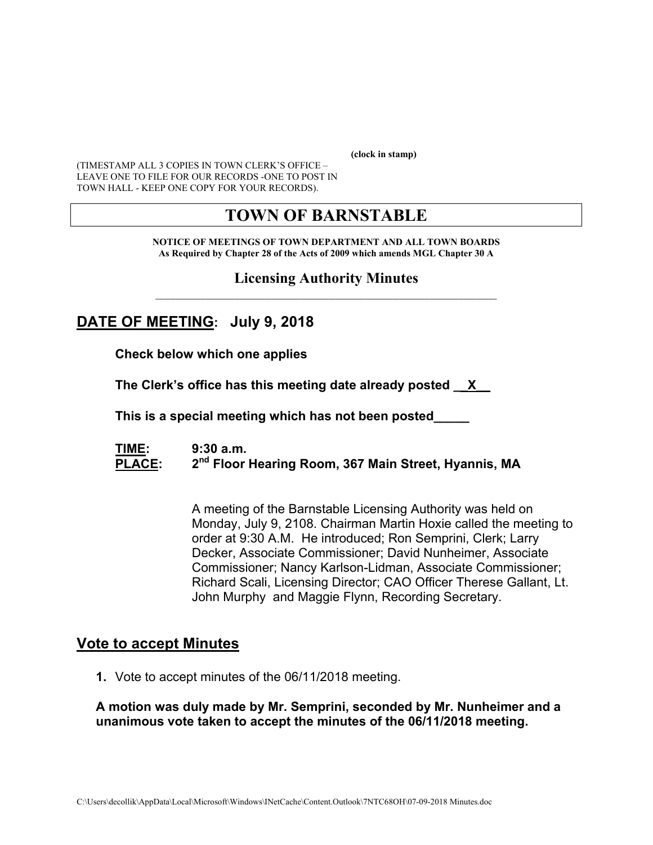**(clock in stamp)** 

(TIMESTAMP ALL 3 COPIES IN TOWN CLERK'S OFFICE – LEAVE ONE TO FILE FOR OUR RECORDS -ONE TO POST IN TOWN HALL - KEEP ONE COPY FOR YOUR RECORDS).

# **TOWN OF BARNSTABLE**

**NOTICE OF MEETINGS OF TOWN DEPARTMENT AND ALL TOWN BOARDS As Required by Chapter 28 of the Acts of 2009 which amends MGL Chapter 30 A** 

#### **Licensing Authority Minutes**  $\mathcal{L}_\text{max}$  and the contract of the contract of the contract of the contract of the contract of the contract of the contract of the contract of the contract of the contract of the contract of the contract of the contrac

# **DATE OF MEETING: July 9, 2018**

**Check below which one applies** 

**The Clerk's office has this meeting date already posted \_\_X\_\_** 

 **This is a special meeting which has not been posted\_\_\_\_\_** 

**TIME: 9:30 a.m.**  PLACE: 2<sup>nd</sup> Floor Hearing Room, 367 Main Street, Hyannis, MA

> A meeting of the Barnstable Licensing Authority was held on Monday, July 9, 2108. Chairman Martin Hoxie called the meeting to order at 9:30 A.M. He introduced; Ron Semprini, Clerk; Larry Decker, Associate Commissioner; David Nunheimer, Associate Commissioner; Nancy Karlson-Lidman, Associate Commissioner; Richard Scali, Licensing Director; CAO Officer Therese Gallant, Lt. John Murphy and Maggie Flynn, Recording Secretary.

## **Vote to accept Minutes**

**1.** Vote to accept minutes of the 06/11/2018 meeting.

#### **A motion was duly made by Mr. Semprini, seconded by Mr. Nunheimer and a unanimous vote taken to accept the minutes of the 06/11/2018 meeting.**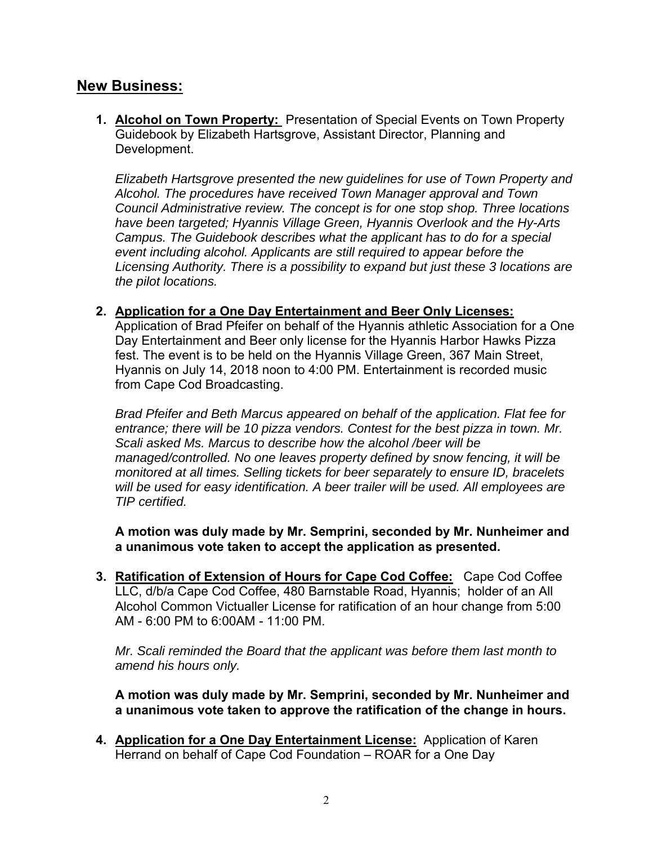## **New Business:**

**1. Alcohol on Town Property:** Presentation of Special Events on Town Property Guidebook by Elizabeth Hartsgrove, Assistant Director, Planning and Development.

*Elizabeth Hartsgrove presented the new guidelines for use of Town Property and Alcohol. The procedures have received Town Manager approval and Town Council Administrative review. The concept is for one stop shop. Three locations have been targeted; Hyannis Village Green, Hyannis Overlook and the Hy-Arts Campus. The Guidebook describes what the applicant has to do for a special event including alcohol. Applicants are still required to appear before the Licensing Authority. There is a possibility to expand but just these 3 locations are the pilot locations.* 

#### **2. Application for a One Day Entertainment and Beer Only Licenses:**

Application of Brad Pfeifer on behalf of the Hyannis athletic Association for a One Day Entertainment and Beer only license for the Hyannis Harbor Hawks Pizza fest. The event is to be held on the Hyannis Village Green, 367 Main Street, Hyannis on July 14, 2018 noon to 4:00 PM. Entertainment is recorded music from Cape Cod Broadcasting.

*Brad Pfeifer and Beth Marcus appeared on behalf of the application. Flat fee for entrance; there will be 10 pizza vendors. Contest for the best pizza in town. Mr. Scali asked Ms. Marcus to describe how the alcohol /beer will be managed/controlled. No one leaves property defined by snow fencing, it will be monitored at all times. Selling tickets for beer separately to ensure ID, bracelets will be used for easy identification. A beer trailer will be used. All employees are TIP certified.* 

**A motion was duly made by Mr. Semprini, seconded by Mr. Nunheimer and a unanimous vote taken to accept the application as presented.** 

**3. Ratification of Extension of Hours for Cape Cod Coffee:** Cape Cod Coffee LLC, d/b/a Cape Cod Coffee, 480 Barnstable Road, Hyannis; holder of an All Alcohol Common Victualler License for ratification of an hour change from 5:00 AM - 6:00 PM to 6:00AM - 11:00 PM.

*Mr. Scali reminded the Board that the applicant was before them last month to amend his hours only.* 

**A motion was duly made by Mr. Semprini, seconded by Mr. Nunheimer and a unanimous vote taken to approve the ratification of the change in hours.** 

**4. Application for a One Day Entertainment License:** Application of Karen Herrand on behalf of Cape Cod Foundation – ROAR for a One Day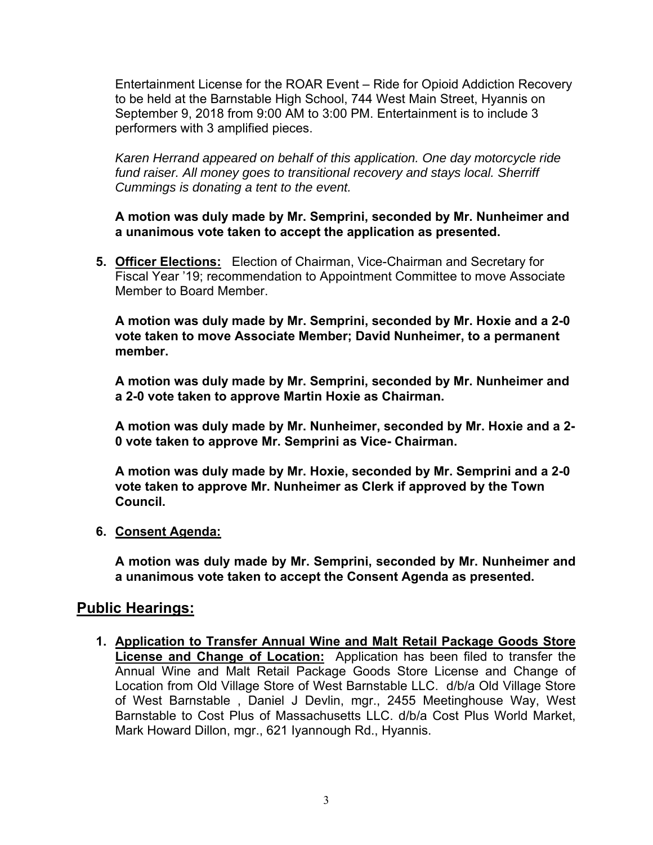Entertainment License for the ROAR Event – Ride for Opioid Addiction Recovery to be held at the Barnstable High School, 744 West Main Street, Hyannis on September 9, 2018 from 9:00 AM to 3:00 PM. Entertainment is to include 3 performers with 3 amplified pieces.

*Karen Herrand appeared on behalf of this application. One day motorcycle ride fund raiser. All money goes to transitional recovery and stays local. Sherriff Cummings is donating a tent to the event.* 

**A motion was duly made by Mr. Semprini, seconded by Mr. Nunheimer and a unanimous vote taken to accept the application as presented.** 

**5. Officer Elections:** Election of Chairman, Vice-Chairman and Secretary for Fiscal Year '19; recommendation to Appointment Committee to move Associate Member to Board Member.

**A motion was duly made by Mr. Semprini, seconded by Mr. Hoxie and a 2-0 vote taken to move Associate Member; David Nunheimer, to a permanent member.** 

**A motion was duly made by Mr. Semprini, seconded by Mr. Nunheimer and a 2-0 vote taken to approve Martin Hoxie as Chairman.** 

**A motion was duly made by Mr. Nunheimer, seconded by Mr. Hoxie and a 2- 0 vote taken to approve Mr. Semprini as Vice- Chairman.** 

**A motion was duly made by Mr. Hoxie, seconded by Mr. Semprini and a 2-0 vote taken to approve Mr. Nunheimer as Clerk if approved by the Town Council.** 

#### **6. Consent Agenda:**

**A motion was duly made by Mr. Semprini, seconded by Mr. Nunheimer and a unanimous vote taken to accept the Consent Agenda as presented.** 

## **Public Hearings:**

**1. Application to Transfer Annual Wine and Malt Retail Package Goods Store License and Change of Location:** Application has been filed to transfer the Annual Wine and Malt Retail Package Goods Store License and Change of Location from Old Village Store of West Barnstable LLC. d/b/a Old Village Store of West Barnstable , Daniel J Devlin, mgr., 2455 Meetinghouse Way, West Barnstable to Cost Plus of Massachusetts LLC. d/b/a Cost Plus World Market, Mark Howard Dillon, mgr., 621 Iyannough Rd., Hyannis.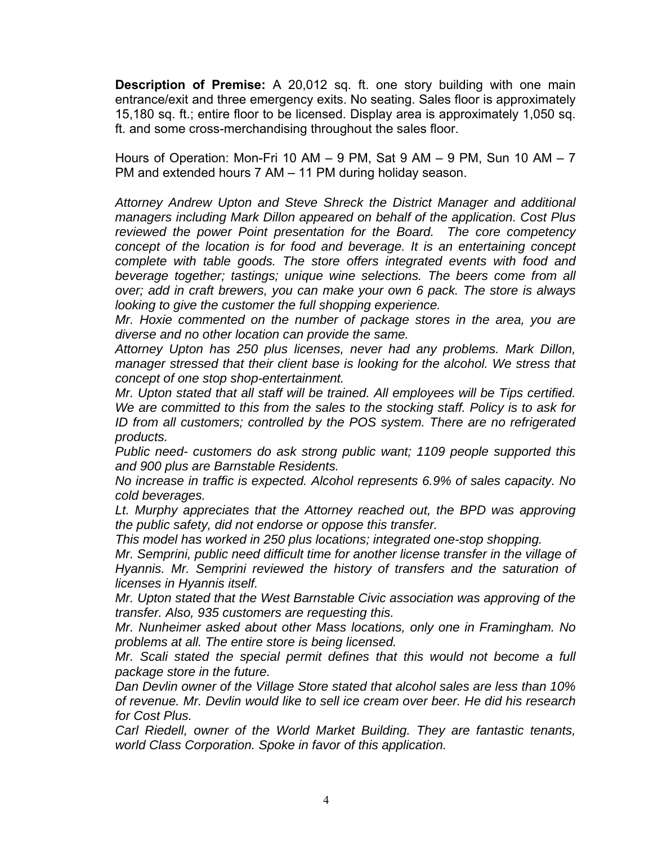**Description of Premise:** A 20,012 sq. ft. one story building with one main entrance/exit and three emergency exits. No seating. Sales floor is approximately 15,180 sq. ft.; entire floor to be licensed. Display area is approximately 1,050 sq. ft. and some cross-merchandising throughout the sales floor.

Hours of Operation: Mon-Fri 10 AM  $-$  9 PM, Sat 9 AM  $-$  9 PM, Sun 10 AM  $-$  7 PM and extended hours 7 AM – 11 PM during holiday season.

*Attorney Andrew Upton and Steve Shreck the District Manager and additional managers including Mark Dillon appeared on behalf of the application. Cost Plus reviewed the power Point presentation for the Board. The core competency concept of the location is for food and beverage. It is an entertaining concept complete with table goods. The store offers integrated events with food and beverage together; tastings; unique wine selections. The beers come from all over; add in craft brewers, you can make your own 6 pack. The store is always looking to give the customer the full shopping experience.* 

*Mr. Hoxie commented on the number of package stores in the area, you are diverse and no other location can provide the same.* 

*Attorney Upton has 250 plus licenses, never had any problems. Mark Dillon, manager stressed that their client base is looking for the alcohol. We stress that concept of one stop shop-entertainment.* 

*Mr. Upton stated that all staff will be trained. All employees will be Tips certified. We are committed to this from the sales to the stocking staff. Policy is to ask for ID from all customers; controlled by the POS system. There are no refrigerated products.* 

*Public need- customers do ask strong public want; 1109 people supported this and 900 plus are Barnstable Residents.* 

*No increase in traffic is expected. Alcohol represents 6.9% of sales capacity. No cold beverages.* 

Lt. Murphy appreciates that the Attorney reached out, the BPD was approving *the public safety, did not endorse or oppose this transfer.* 

*This model has worked in 250 plus locations; integrated one-stop shopping.* 

*Mr. Semprini, public need difficult time for another license transfer in the village of Hyannis. Mr. Semprini reviewed the history of transfers and the saturation of licenses in Hyannis itself.* 

*Mr. Upton stated that the West Barnstable Civic association was approving of the transfer. Also, 935 customers are requesting this.* 

*Mr. Nunheimer asked about other Mass locations, only one in Framingham. No problems at all. The entire store is being licensed.* 

*Mr. Scali stated the special permit defines that this would not become a full package store in the future.* 

*Dan Devlin owner of the Village Store stated that alcohol sales are less than 10% of revenue. Mr. Devlin would like to sell ice cream over beer. He did his research for Cost Plus.* 

*Carl Riedell, owner of the World Market Building. They are fantastic tenants, world Class Corporation. Spoke in favor of this application.*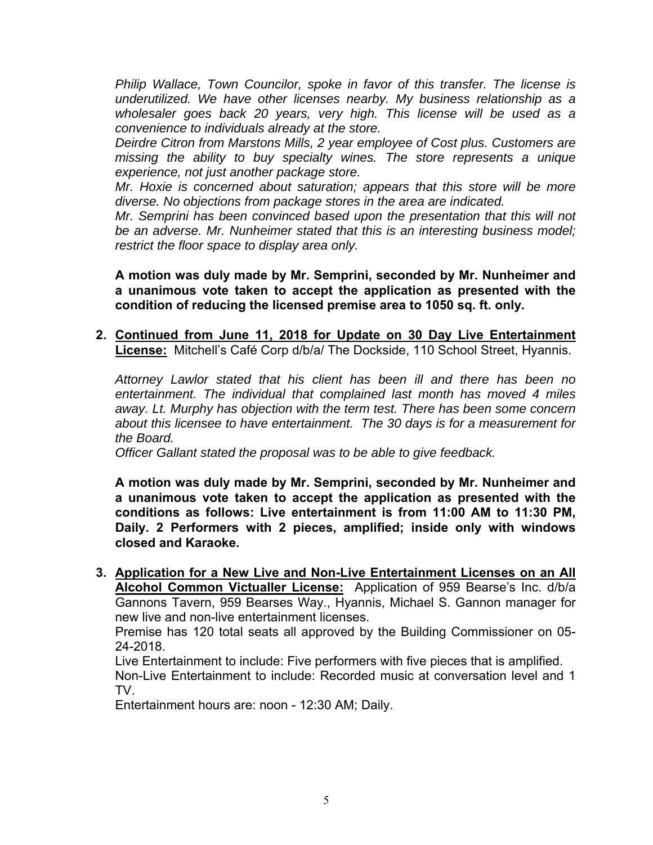*Philip Wallace, Town Councilor, spoke in favor of this transfer. The license is underutilized. We have other licenses nearby. My business relationship as a*  wholesaler goes back 20 years, very high. This license will be used as a *convenience to individuals already at the store.* 

*Deirdre Citron from Marstons Mills, 2 year employee of Cost plus. Customers are missing the ability to buy specialty wines. The store represents a unique experience, not just another package store.* 

*Mr. Hoxie is concerned about saturation; appears that this store will be more diverse. No objections from package stores in the area are indicated.* 

*Mr. Semprini has been convinced based upon the presentation that this will not be an adverse. Mr. Nunheimer stated that this is an interesting business model; restrict the floor space to display area only.* 

**A motion was duly made by Mr. Semprini, seconded by Mr. Nunheimer and a unanimous vote taken to accept the application as presented with the condition of reducing the licensed premise area to 1050 sq. ft. only.** 

**2. Continued from June 11, 2018 for Update on 30 Day Live Entertainment License:** Mitchell's Café Corp d/b/a/ The Dockside, 110 School Street, Hyannis.

*Attorney Lawlor stated that his client has been ill and there has been no entertainment. The individual that complained last month has moved 4 miles away. Lt. Murphy has objection with the term test. There has been some concern about this licensee to have entertainment. The 30 days is for a measurement for the Board.* 

*Officer Gallant stated the proposal was to be able to give feedback.* 

**A motion was duly made by Mr. Semprini, seconded by Mr. Nunheimer and a unanimous vote taken to accept the application as presented with the conditions as follows: Live entertainment is from 11:00 AM to 11:30 PM, Daily. 2 Performers with 2 pieces, amplified; inside only with windows closed and Karaoke.** 

**3. Application for a New Live and Non-Live Entertainment Licenses on an All Alcohol Common Victualler License:** Application of 959 Bearse's Inc. d/b/a Gannons Tavern, 959 Bearses Way., Hyannis, Michael S. Gannon manager for new live and non-live entertainment licenses.

Premise has 120 total seats all approved by the Building Commissioner on 05- 24-2018.

Live Entertainment to include: Five performers with five pieces that is amplified. Non-Live Entertainment to include: Recorded music at conversation level and 1 TV.

Entertainment hours are: noon - 12:30 AM; Daily.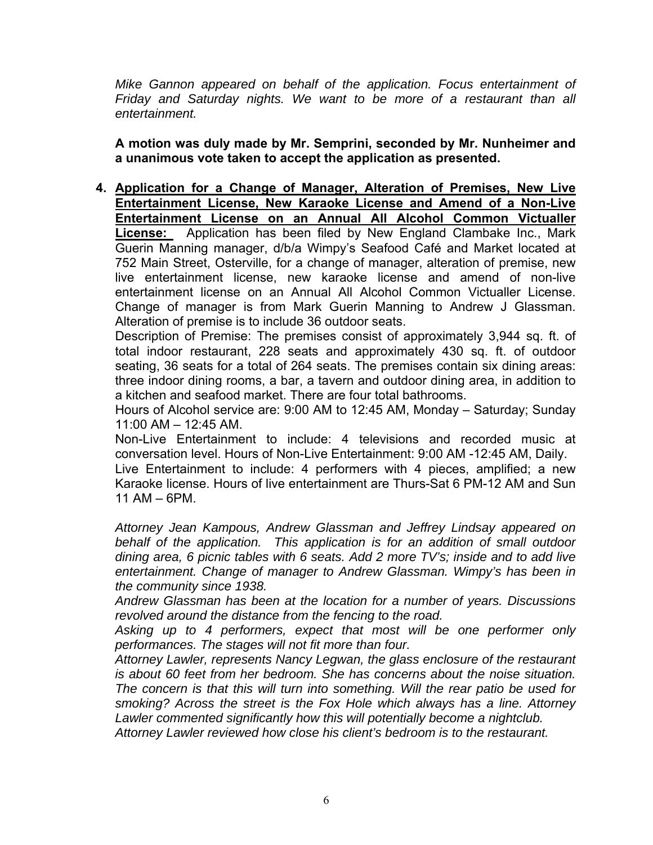*Mike Gannon appeared on behalf of the application. Focus entertainment of Friday and Saturday nights. We want to be more of a restaurant than all entertainment.* 

**A motion was duly made by Mr. Semprini, seconded by Mr. Nunheimer and a unanimous vote taken to accept the application as presented.** 

**4. Application for a Change of Manager, Alteration of Premises, New Live Entertainment License, New Karaoke License and Amend of a Non-Live Entertainment License on an Annual All Alcohol Common Victualler License:** Application has been filed by New England Clambake Inc., Mark Guerin Manning manager, d/b/a Wimpy's Seafood Café and Market located at 752 Main Street, Osterville, for a change of manager, alteration of premise, new live entertainment license, new karaoke license and amend of non-live entertainment license on an Annual All Alcohol Common Victualler License. Change of manager is from Mark Guerin Manning to Andrew J Glassman. Alteration of premise is to include 36 outdoor seats.

Description of Premise: The premises consist of approximately 3,944 sq. ft. of total indoor restaurant, 228 seats and approximately 430 sq. ft. of outdoor seating, 36 seats for a total of 264 seats. The premises contain six dining areas: three indoor dining rooms, a bar, a tavern and outdoor dining area, in addition to a kitchen and seafood market. There are four total bathrooms.

Hours of Alcohol service are: 9:00 AM to 12:45 AM, Monday – Saturday; Sunday 11:00 AM – 12:45 AM.

Non-Live Entertainment to include: 4 televisions and recorded music at conversation level. Hours of Non-Live Entertainment: 9:00 AM -12:45 AM, Daily.

Live Entertainment to include: 4 performers with 4 pieces, amplified; a new Karaoke license. Hours of live entertainment are Thurs-Sat 6 PM-12 AM and Sun 11 AM – 6PM.

*Attorney Jean Kampous, Andrew Glassman and Jeffrey Lindsay appeared on behalf of the application. This application is for an addition of small outdoor dining area, 6 picnic tables with 6 seats. Add 2 more TV's; inside and to add live entertainment. Change of manager to Andrew Glassman. Wimpy's has been in the community since 1938.* 

*Andrew Glassman has been at the location for a number of years. Discussions revolved around the distance from the fencing to the road.* 

*Asking up to 4 performers, expect that most will be one performer only performances. The stages will not fit more than four.* 

*Attorney Lawler, represents Nancy Legwan, the glass enclosure of the restaurant is about 60 feet from her bedroom. She has concerns about the noise situation. The concern is that this will turn into something. Will the rear patio be used for smoking? Across the street is the Fox Hole which always has a line. Attorney Lawler commented significantly how this will potentially become a nightclub.* 

*Attorney Lawler reviewed how close his client's bedroom is to the restaurant.*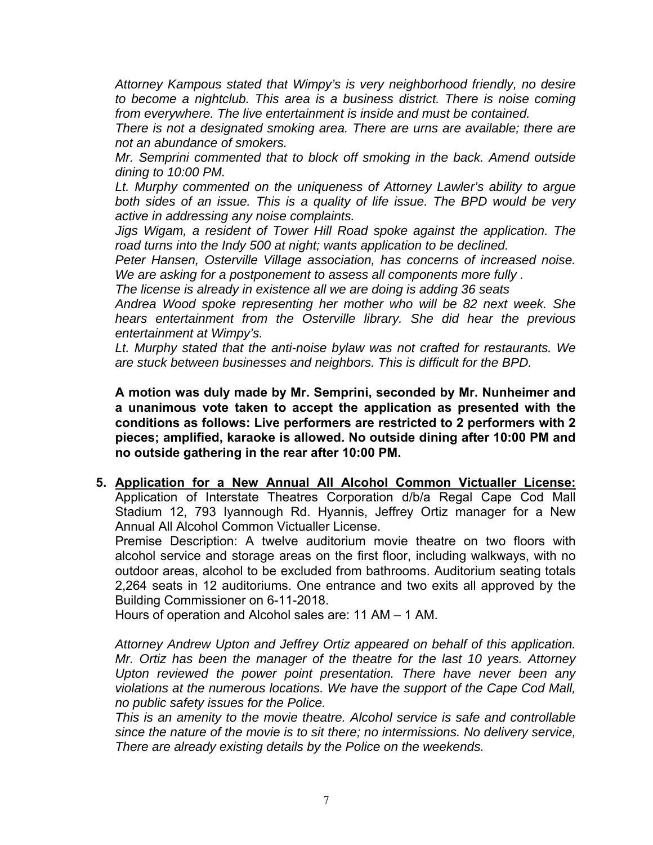*Attorney Kampous stated that Wimpy's is very neighborhood friendly, no desire to become a nightclub. This area is a business district. There is noise coming from everywhere. The live entertainment is inside and must be contained.* 

*There is not a designated smoking area. There are urns are available; there are not an abundance of smokers.* 

*Mr. Semprini commented that to block off smoking in the back. Amend outside dining to 10:00 PM.* 

*Lt. Murphy commented on the uniqueness of Attorney Lawler's ability to argue both sides of an issue. This is a quality of life issue. The BPD would be very active in addressing any noise complaints.* 

*Jigs Wigam, a resident of Tower Hill Road spoke against the application. The road turns into the Indy 500 at night; wants application to be declined.* 

*Peter Hansen, Osterville Village association, has concerns of increased noise. We are asking for a postponement to assess all components more fully .* 

*The license is already in existence all we are doing is adding 36 seats* 

*Andrea Wood spoke representing her mother who will be 82 next week. She hears entertainment from the Osterville library. She did hear the previous entertainment at Wimpy's.* 

*Lt. Murphy stated that the anti-noise bylaw was not crafted for restaurants. We are stuck between businesses and neighbors. This is difficult for the BPD.* 

**A motion was duly made by Mr. Semprini, seconded by Mr. Nunheimer and a unanimous vote taken to accept the application as presented with the conditions as follows: Live performers are restricted to 2 performers with 2 pieces; amplified, karaoke is allowed. No outside dining after 10:00 PM and no outside gathering in the rear after 10:00 PM.** 

**5. Application for a New Annual All Alcohol Common Victualler License:**  Application of Interstate Theatres Corporation d/b/a Regal Cape Cod Mall Stadium 12, 793 Iyannough Rd. Hyannis, Jeffrey Ortiz manager for a New Annual All Alcohol Common Victualler License.

Premise Description: A twelve auditorium movie theatre on two floors with alcohol service and storage areas on the first floor, including walkways, with no outdoor areas, alcohol to be excluded from bathrooms. Auditorium seating totals 2,264 seats in 12 auditoriums. One entrance and two exits all approved by the Building Commissioner on 6-11-2018.

Hours of operation and Alcohol sales are: 11 AM – 1 AM.

*Attorney Andrew Upton and Jeffrey Ortiz appeared on behalf of this application. Mr. Ortiz has been the manager of the theatre for the last 10 years. Attorney Upton reviewed the power point presentation. There have never been any violations at the numerous locations. We have the support of the Cape Cod Mall, no public safety issues for the Police.* 

*This is an amenity to the movie theatre. Alcohol service is safe and controllable since the nature of the movie is to sit there; no intermissions. No delivery service, There are already existing details by the Police on the weekends.*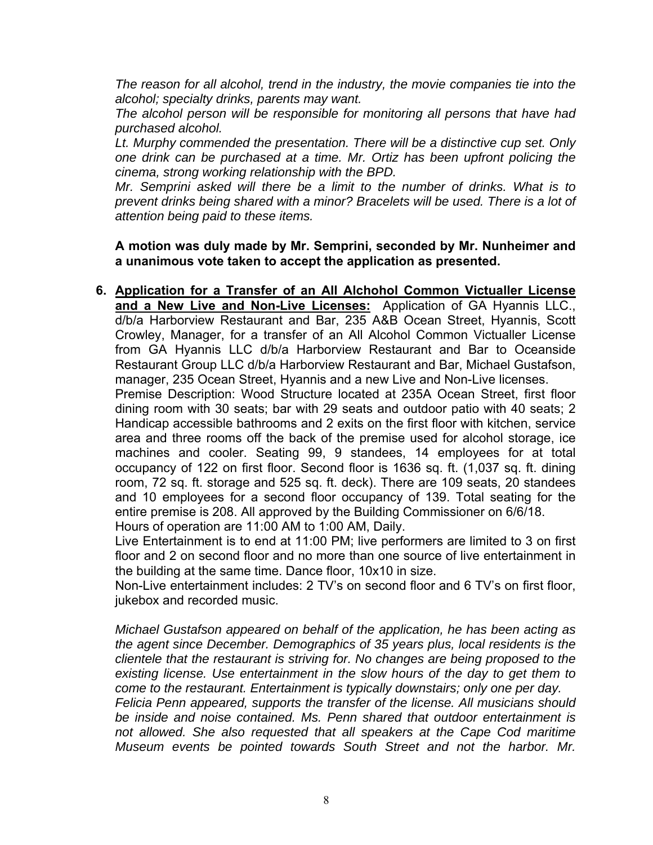*The reason for all alcohol, trend in the industry, the movie companies tie into the alcohol; specialty drinks, parents may want.* 

*The alcohol person will be responsible for monitoring all persons that have had purchased alcohol.* 

Lt. Murphy commended the presentation. There will be a distinctive cup set. Only *one drink can be purchased at a time. Mr. Ortiz has been upfront policing the cinema, strong working relationship with the BPD.* 

*Mr. Semprini asked will there be a limit to the number of drinks. What is to prevent drinks being shared with a minor? Bracelets will be used. There is a lot of attention being paid to these items.* 

**A motion was duly made by Mr. Semprini, seconded by Mr. Nunheimer and a unanimous vote taken to accept the application as presented.** 

**6. Application for a Transfer of an All Alchohol Common Victualler License and a New Live and Non-Live Licenses:** Application of GA Hyannis LLC., d/b/a Harborview Restaurant and Bar, 235 A&B Ocean Street, Hyannis, Scott Crowley, Manager, for a transfer of an All Alcohol Common Victualler License from GA Hyannis LLC d/b/a Harborview Restaurant and Bar to Oceanside Restaurant Group LLC d/b/a Harborview Restaurant and Bar, Michael Gustafson, manager, 235 Ocean Street, Hyannis and a new Live and Non-Live licenses.

Premise Description: Wood Structure located at 235A Ocean Street, first floor dining room with 30 seats; bar with 29 seats and outdoor patio with 40 seats; 2 Handicap accessible bathrooms and 2 exits on the first floor with kitchen, service area and three rooms off the back of the premise used for alcohol storage, ice machines and cooler. Seating 99, 9 standees, 14 employees for at total occupancy of 122 on first floor. Second floor is 1636 sq. ft. (1,037 sq. ft. dining room, 72 sq. ft. storage and 525 sq. ft. deck). There are 109 seats, 20 standees and 10 employees for a second floor occupancy of 139. Total seating for the entire premise is 208. All approved by the Building Commissioner on 6/6/18. Hours of operation are 11:00 AM to 1:00 AM, Daily.

Live Entertainment is to end at 11:00 PM; live performers are limited to 3 on first floor and 2 on second floor and no more than one source of live entertainment in

the building at the same time. Dance floor, 10x10 in size. Non-Live entertainment includes: 2 TV's on second floor and 6 TV's on first floor, jukebox and recorded music.

*Michael Gustafson appeared on behalf of the application, he has been acting as the agent since December. Demographics of 35 years plus, local residents is the clientele that the restaurant is striving for. No changes are being proposed to the existing license. Use entertainment in the slow hours of the day to get them to come to the restaurant. Entertainment is typically downstairs; only one per day.* 

*Felicia Penn appeared, supports the transfer of the license. All musicians should be inside and noise contained. Ms. Penn shared that outdoor entertainment is not allowed. She also requested that all speakers at the Cape Cod maritime Museum events be pointed towards South Street and not the harbor. Mr.*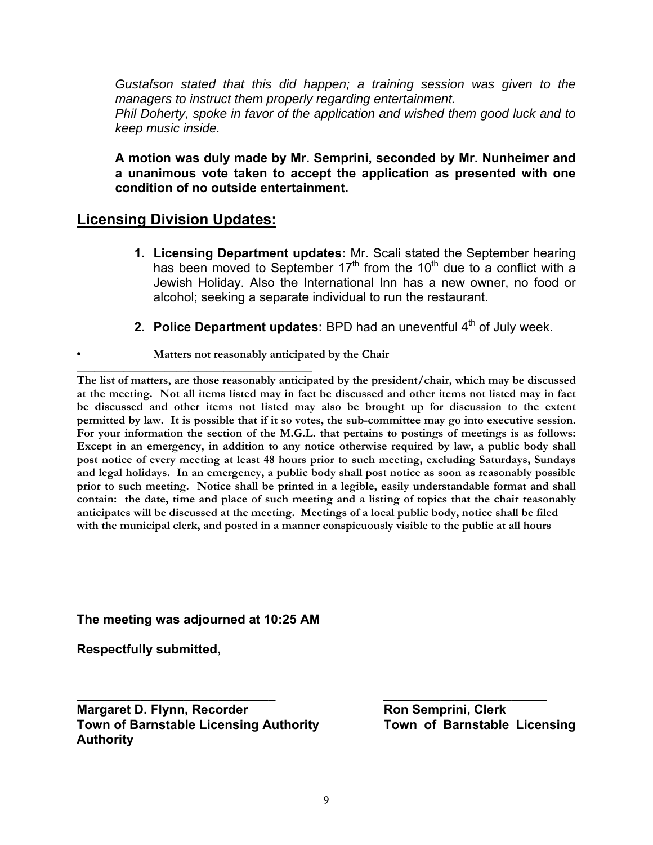*Gustafson stated that this did happen; a training session was given to the managers to instruct them properly regarding entertainment. Phil Doherty, spoke in favor of the application and wished them good luck and to keep music inside.* 

**A motion was duly made by Mr. Semprini, seconded by Mr. Nunheimer and a unanimous vote taken to accept the application as presented with one condition of no outside entertainment.** 

## **Licensing Division Updates:**

- **1. Licensing Department updates:** Mr. Scali stated the September hearing has been moved to September  $17<sup>th</sup>$  from the  $10<sup>th</sup>$  due to a conflict with a Jewish Holiday. Also the International Inn has a new owner, no food or alcohol; seeking a separate individual to run the restaurant.
- **2. Police Department updates:** BPD had an uneventful 4<sup>th</sup> of July week.
	- **Matters not reasonably anticipated by the Chair**

**\_\_\_\_\_\_\_\_\_\_\_\_\_\_\_\_\_\_\_\_\_\_\_\_\_\_\_\_\_\_\_\_\_\_\_\_\_\_\_\_ The list of matters, are those reasonably anticipated by the president/chair, which may be discussed at the meeting. Not all items listed may in fact be discussed and other items not listed may in fact be discussed and other items not listed may also be brought up for discussion to the extent permitted by law. It is possible that if it so votes, the sub-committee may go into executive session. For your information the section of the M.G.L. that pertains to postings of meetings is as follows: Except in an emergency, in addition to any notice otherwise required by law, a public body shall post notice of every meeting at least 48 hours prior to such meeting, excluding Saturdays, Sundays and legal holidays. In an emergency, a public body shall post notice as soon as reasonably possible prior to such meeting. Notice shall be printed in a legible, easily understandable format and shall contain: the date, time and place of such meeting and a listing of topics that the chair reasonably anticipates will be discussed at the meeting. Meetings of a local public body, notice shall be filed with the municipal clerk, and posted in a manner conspicuously visible to the public at all hours** 

**The meeting was adjourned at 10:25 AM** 

**Respectfully submitted,** 

**Margaret D. Flynn, Recorder Ron Semprini, Clerk Town of Barnstable Licensing Authority Authority** 

**\_\_\_\_\_\_\_\_\_\_\_\_\_\_\_\_\_\_\_\_\_\_\_\_\_\_\_\_ \_\_\_\_\_\_\_\_\_\_\_\_\_\_\_\_\_\_\_\_\_\_\_**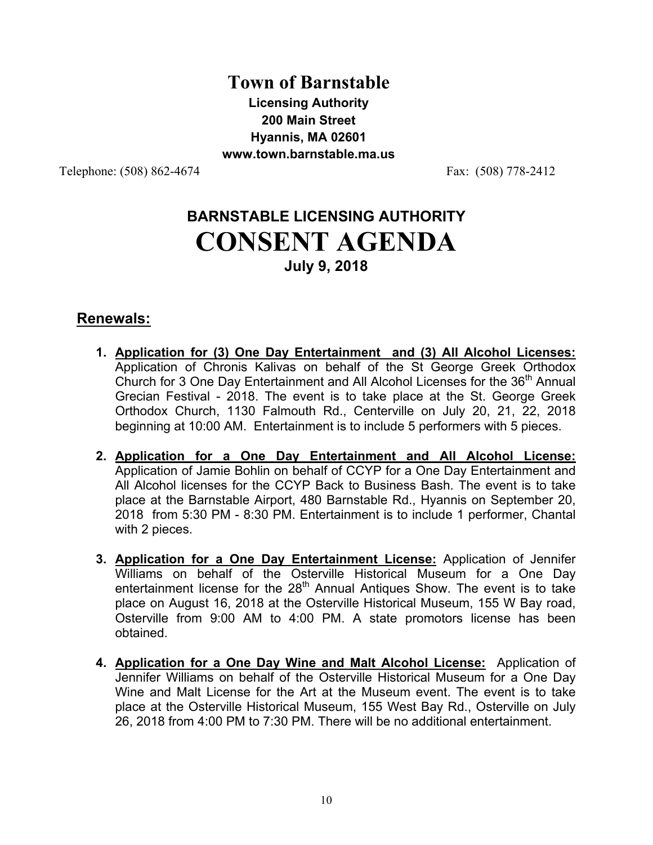# **Town of Barnstable Licensing Authority 200 Main Street Hyannis, MA 02601 www.town.barnstable.ma.us**

Telephone: (508) 862-4674 Fax: (508) 778-2412

# **BARNSTABLE LICENSING AUTHORITY CONSENT AGENDA July 9, 2018**

## **Renewals:**

- **1. Application for (3) One Day Entertainment and (3) All Alcohol Licenses:** Application of Chronis Kalivas on behalf of the St George Greek Orthodox Church for 3 One Day Entertainment and All Alcohol Licenses for the 36<sup>th</sup> Annual Grecian Festival - 2018. The event is to take place at the St. George Greek Orthodox Church, 1130 Falmouth Rd., Centerville on July 20, 21, 22, 2018 beginning at 10:00 AM. Entertainment is to include 5 performers with 5 pieces.
- **2. Application for a One Day Entertainment and All Alcohol License:** Application of Jamie Bohlin on behalf of CCYP for a One Day Entertainment and All Alcohol licenses for the CCYP Back to Business Bash. The event is to take place at the Barnstable Airport, 480 Barnstable Rd., Hyannis on September 20, 2018 from 5:30 PM - 8:30 PM. Entertainment is to include 1 performer, Chantal with 2 pieces.
- **3. Application for a One Day Entertainment License:** Application of Jennifer Williams on behalf of the Osterville Historical Museum for a One Day entertainment license for the 28<sup>th</sup> Annual Antiques Show. The event is to take place on August 16, 2018 at the Osterville Historical Museum, 155 W Bay road, Osterville from 9:00 AM to 4:00 PM. A state promotors license has been obtained.
- **4. Application for a One Day Wine and Malt Alcohol License:** Application of Jennifer Williams on behalf of the Osterville Historical Museum for a One Day Wine and Malt License for the Art at the Museum event. The event is to take place at the Osterville Historical Museum, 155 West Bay Rd., Osterville on July 26, 2018 from 4:00 PM to 7:30 PM. There will be no additional entertainment.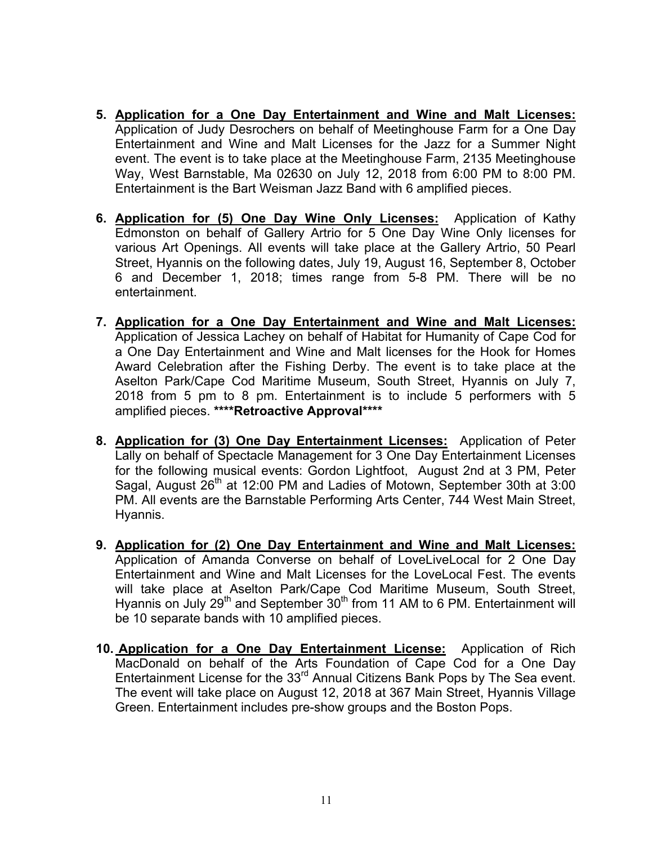- **5. Application for a One Day Entertainment and Wine and Malt Licenses:**  Application of Judy Desrochers on behalf of Meetinghouse Farm for a One Day Entertainment and Wine and Malt Licenses for the Jazz for a Summer Night event. The event is to take place at the Meetinghouse Farm, 2135 Meetinghouse Way, West Barnstable, Ma 02630 on July 12, 2018 from 6:00 PM to 8:00 PM. Entertainment is the Bart Weisman Jazz Band with 6 amplified pieces.
- **6. Application for (5) One Day Wine Only Licenses:** Application of Kathy Edmonston on behalf of Gallery Artrio for 5 One Day Wine Only licenses for various Art Openings. All events will take place at the Gallery Artrio, 50 Pearl Street, Hyannis on the following dates, July 19, August 16, September 8, October 6 and December 1, 2018; times range from 5-8 PM. There will be no entertainment.
- **7. Application for a One Day Entertainment and Wine and Malt Licenses:**  Application of Jessica Lachey on behalf of Habitat for Humanity of Cape Cod for a One Day Entertainment and Wine and Malt licenses for the Hook for Homes Award Celebration after the Fishing Derby. The event is to take place at the Aselton Park/Cape Cod Maritime Museum, South Street, Hyannis on July 7, 2018 from 5 pm to 8 pm. Entertainment is to include 5 performers with 5 amplified pieces. **\*\*\*\*Retroactive Approval\*\*\*\***
- **8. Application for (3) One Day Entertainment Licenses:** Application of Peter Lally on behalf of Spectacle Management for 3 One Day Entertainment Licenses for the following musical events: Gordon Lightfoot, August 2nd at 3 PM, Peter Sagal, August 26<sup>th</sup> at 12:00 PM and Ladies of Motown, September 30th at 3:00 PM. All events are the Barnstable Performing Arts Center, 744 West Main Street, Hyannis.
- **9. Application for (2) One Day Entertainment and Wine and Malt Licenses:** Application of Amanda Converse on behalf of LoveLiveLocal for 2 One Day Entertainment and Wine and Malt Licenses for the LoveLocal Fest. The events will take place at Aselton Park/Cape Cod Maritime Museum, South Street, Hyannis on July 29<sup>th</sup> and September  $30<sup>th</sup>$  from 11 AM to 6 PM. Entertainment will be 10 separate bands with 10 amplified pieces.
- **10. Application for a One Day Entertainment License:** Application of Rich MacDonald on behalf of the Arts Foundation of Cape Cod for a One Day Entertainment License for the 33<sup>rd</sup> Annual Citizens Bank Pops by The Sea event. The event will take place on August 12, 2018 at 367 Main Street, Hyannis Village Green. Entertainment includes pre-show groups and the Boston Pops.